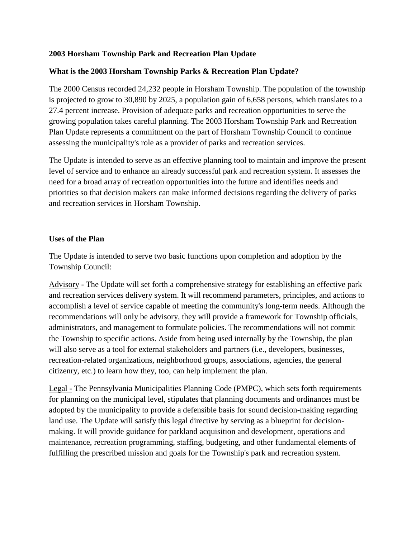### **2003 Horsham Township Park and Recreation Plan Update**

## **What is the 2003 Horsham Township Parks & Recreation Plan Update?**

The 2000 Census recorded 24,232 people in Horsham Township. The population of the township is projected to grow to 30,890 by 2025, a population gain of 6,658 persons, which translates to a 27.4 percent increase. Provision of adequate parks and recreation opportunities to serve the growing population takes careful planning. The 2003 Horsham Township Park and Recreation Plan Update represents a commitment on the part of Horsham Township Council to continue assessing the municipality's role as a provider of parks and recreation services.

The Update is intended to serve as an effective planning tool to maintain and improve the present level of service and to enhance an already successful park and recreation system. It assesses the need for a broad array of recreation opportunities into the future and identifies needs and priorities so that decision makers can make informed decisions regarding the delivery of parks and recreation services in Horsham Township.

#### **Uses of the Plan**

The Update is intended to serve two basic functions upon completion and adoption by the Township Council:

Advisory - The Update will set forth a comprehensive strategy for establishing an effective park and recreation services delivery system. It will recommend parameters, principles, and actions to accomplish a level of service capable of meeting the community's long-term needs. Although the recommendations will only be advisory, they will provide a framework for Township officials, administrators, and management to formulate policies. The recommendations will not commit the Township to specific actions. Aside from being used internally by the Township, the plan will also serve as a tool for external stakeholders and partners (i.e., developers, businesses, recreation-related organizations, neighborhood groups, associations, agencies, the general citizenry, etc.) to learn how they, too, can help implement the plan.

Legal - The Pennsylvania Municipalities Planning Code (PMPC), which sets forth requirements for planning on the municipal level, stipulates that planning documents and ordinances must be adopted by the municipality to provide a defensible basis for sound decision-making regarding land use. The Update will satisfy this legal directive by serving as a blueprint for decisionmaking. It will provide guidance for parkland acquisition and development, operations and maintenance, recreation programming, staffing, budgeting, and other fundamental elements of fulfilling the prescribed mission and goals for the Township's park and recreation system.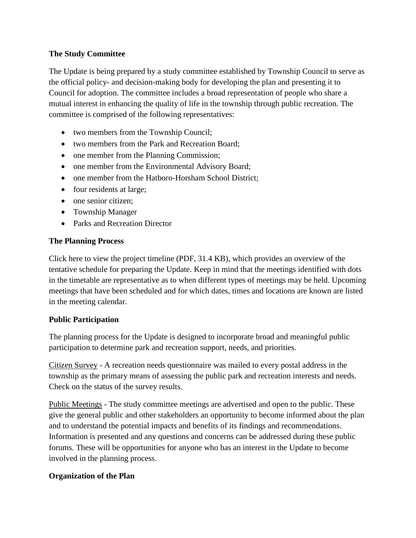## **The Study Committee**

The Update is being prepared by a study committee established by Township Council to serve as the official policy- and decision-making body for developing the plan and presenting it to Council for adoption. The committee includes a broad representation of people who share a mutual interest in enhancing the quality of life in the township through public recreation. The committee is comprised of the following representatives:

- two members from the Township Council;
- two members from the Park and Recreation Board;
- one member from the Planning Commission;
- one member from the Environmental Advisory Board;
- one member from the Hatboro-Horsham School District;
- four residents at large;
- one senior citizen;
- Township Manager
- Parks and Recreation Director

# **The Planning Process**

Click here to view the project timeline (PDF, 31.4 KB), which provides an overview of the tentative schedule for preparing the Update. Keep in mind that the meetings identified with dots in the timetable are representative as to when different types of meetings may be held. Upcoming meetings that have been scheduled and for which dates, times and locations are known are listed in the meeting calendar.

#### **Public Participation**

The planning process for the Update is designed to incorporate broad and meaningful public participation to determine park and recreation support, needs, and priorities.

Citizen Survey - A recreation needs questionnaire was mailed to every postal address in the township as the primary means of assessing the public park and recreation interests and needs. Check on the status of the survey results.

Public Meetings - The study committee meetings are advertised and open to the public. These give the general public and other stakeholders an opportunity to become informed about the plan and to understand the potential impacts and benefits of its findings and recommendations. Information is presented and any questions and concerns can be addressed during these public forums. These will be opportunities for anyone who has an interest in the Update to become involved in the planning process.

# **Organization of the Plan**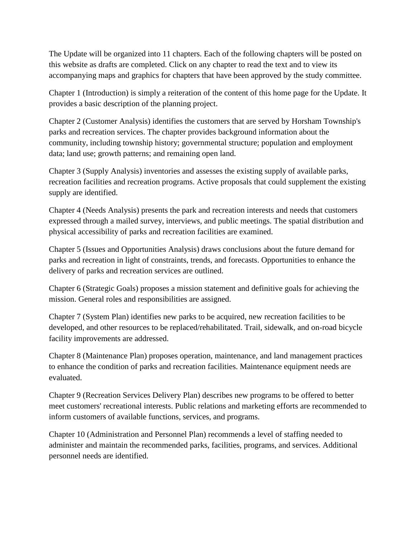The Update will be organized into 11 chapters. Each of the following chapters will be posted on this website as drafts are completed. Click on any chapter to read the text and to view its accompanying maps and graphics for chapters that have been approved by the study committee.

Chapter 1 (Introduction) is simply a reiteration of the content of this home page for the Update. It provides a basic description of the planning project.

Chapter 2 (Customer Analysis) identifies the customers that are served by Horsham Township's parks and recreation services. The chapter provides background information about the community, including township history; governmental structure; population and employment data; land use; growth patterns; and remaining open land.

Chapter 3 (Supply Analysis) inventories and assesses the existing supply of available parks, recreation facilities and recreation programs. Active proposals that could supplement the existing supply are identified.

Chapter 4 (Needs Analysis) presents the park and recreation interests and needs that customers expressed through a mailed survey, interviews, and public meetings. The spatial distribution and physical accessibility of parks and recreation facilities are examined.

Chapter 5 (Issues and Opportunities Analysis) draws conclusions about the future demand for parks and recreation in light of constraints, trends, and forecasts. Opportunities to enhance the delivery of parks and recreation services are outlined.

Chapter 6 (Strategic Goals) proposes a mission statement and definitive goals for achieving the mission. General roles and responsibilities are assigned.

Chapter 7 (System Plan) identifies new parks to be acquired, new recreation facilities to be developed, and other resources to be replaced/rehabilitated. Trail, sidewalk, and on-road bicycle facility improvements are addressed.

Chapter 8 (Maintenance Plan) proposes operation, maintenance, and land management practices to enhance the condition of parks and recreation facilities. Maintenance equipment needs are evaluated.

Chapter 9 (Recreation Services Delivery Plan) describes new programs to be offered to better meet customers' recreational interests. Public relations and marketing efforts are recommended to inform customers of available functions, services, and programs.

Chapter 10 (Administration and Personnel Plan) recommends a level of staffing needed to administer and maintain the recommended parks, facilities, programs, and services. Additional personnel needs are identified.